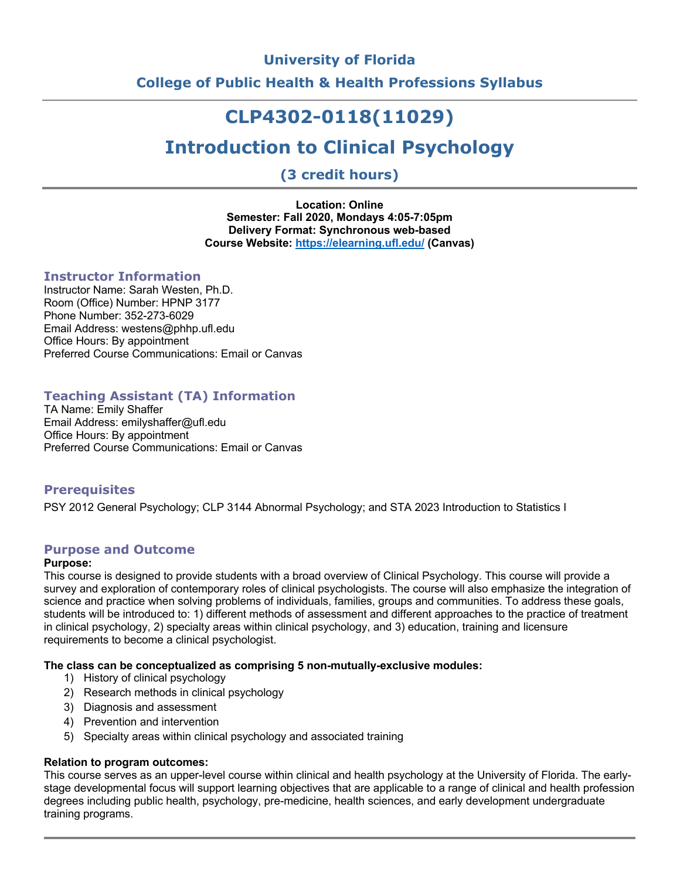# **University of Florida**

**College of Public Health & Health Professions Syllabus**

# **CLP4302-0118(11029)**

# **Introduction to Clinical Psychology**

**(3 credit hours)**

**Location: Online Semester: Fall 2020, Mondays 4:05-7:05pm Delivery Format: Synchronous web-based Course Website: https://elearning.ufl.edu/ (Canvas)**

## **Instructor Information**

Instructor Name: Sarah Westen, Ph.D. Room (Office) Number: HPNP 3177 Phone Number: 352-273-6029 Email Address: westens@phhp.ufl.edu Office Hours: By appointment Preferred Course Communications: Email or Canvas

# **Teaching Assistant (TA) Information**

TA Name: Emily Shaffer Email Address: emilyshaffer@ufl.edu Office Hours: By appointment Preferred Course Communications: Email or Canvas

# **Prerequisites**

PSY 2012 General Psychology; CLP 3144 Abnormal Psychology; and STA 2023 Introduction to Statistics I

# **Purpose and Outcome**

## **Purpose:**

This course is designed to provide students with a broad overview of Clinical Psychology. This course will provide a survey and exploration of contemporary roles of clinical psychologists. The course will also emphasize the integration of science and practice when solving problems of individuals, families, groups and communities. To address these goals, students will be introduced to: 1) different methods of assessment and different approaches to the practice of treatment in clinical psychology, 2) specialty areas within clinical psychology, and 3) education, training and licensure requirements to become a clinical psychologist.

#### **The class can be conceptualized as comprising 5 non-mutually-exclusive modules:**

- 1) History of clinical psychology
- 2) Research methods in clinical psychology
- 3) Diagnosis and assessment
- 4) Prevention and intervention
- 5) Specialty areas within clinical psychology and associated training

# **Relation to program outcomes:**

This course serves as an upper-level course within clinical and health psychology at the University of Florida. The earlystage developmental focus will support learning objectives that are applicable to a range of clinical and health profession degrees including public health, psychology, pre-medicine, health sciences, and early development undergraduate training programs.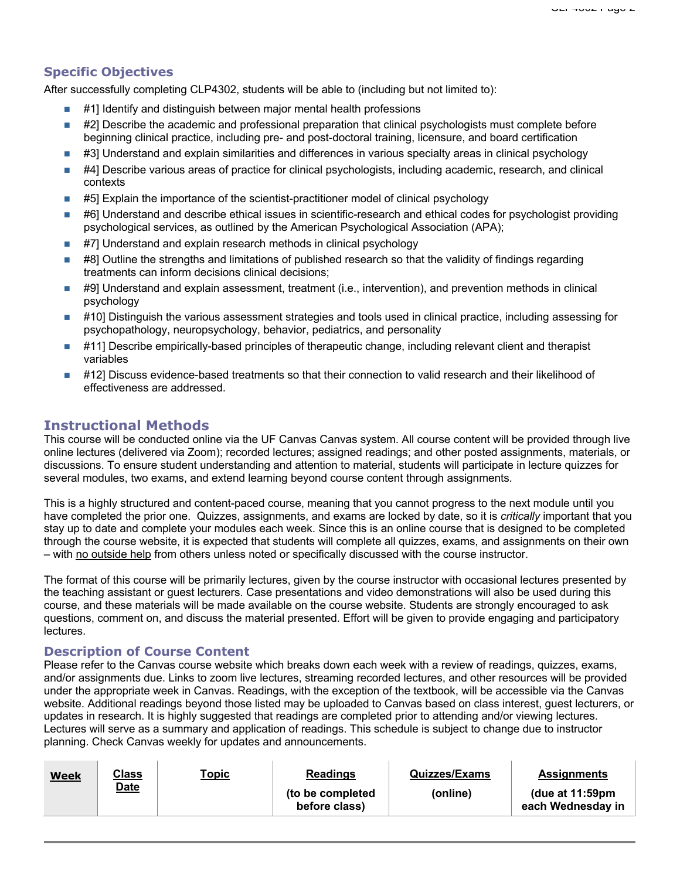# **Specific Objectives**

After successfully completing CLP4302, students will be able to (including but not limited to):

- #1] Identify and distinguish between major mental health professions
- #2] Describe the academic and professional preparation that clinical psychologists must complete before beginning clinical practice, including pre- and post-doctoral training, licensure, and board certification
- #3] Understand and explain similarities and differences in various specialty areas in clinical psychology
- #4] Describe various areas of practice for clinical psychologists, including academic, research, and clinical contexts
- $\blacksquare$  #5] Explain the importance of the scientist-practitioner model of clinical psychology
- #6] Understand and describe ethical issues in scientific-research and ethical codes for psychologist providing psychological services, as outlined by the American Psychological Association (APA);
- $\blacksquare$  #7] Understand and explain research methods in clinical psychology
- #8] Outline the strengths and limitations of published research so that the validity of findings regarding treatments can inform decisions clinical decisions;
- #9] Understand and explain assessment, treatment (i.e., intervention), and prevention methods in clinical psychology
- #10] Distinguish the various assessment strategies and tools used in clinical practice, including assessing for psychopathology, neuropsychology, behavior, pediatrics, and personality
- #11] Describe empirically-based principles of therapeutic change, including relevant client and therapist variables
- #12] Discuss evidence-based treatments so that their connection to valid research and their likelihood of effectiveness are addressed.

# **Instructional Methods**

This course will be conducted online via the UF Canvas Canvas system. All course content will be provided through live online lectures (delivered via Zoom); recorded lectures; assigned readings; and other posted assignments, materials, or discussions. To ensure student understanding and attention to material, students will participate in lecture quizzes for several modules, two exams, and extend learning beyond course content through assignments.

This is a highly structured and content-paced course, meaning that you cannot progress to the next module until you have completed the prior one. Quizzes, assignments, and exams are locked by date, so it is *critically* important that you stay up to date and complete your modules each week. Since this is an online course that is designed to be completed through the course website, it is expected that students will complete all quizzes, exams, and assignments on their own – with no outside help from others unless noted or specifically discussed with the course instructor.

The format of this course will be primarily lectures, given by the course instructor with occasional lectures presented by the teaching assistant or guest lecturers. Case presentations and video demonstrations will also be used during this course, and these materials will be made available on the course website. Students are strongly encouraged to ask questions, comment on, and discuss the material presented. Effort will be given to provide engaging and participatory lectures.

#### **Description of Course Content**

Please refer to the Canvas course website which breaks down each week with a review of readings, quizzes, exams, and/or assignments due. Links to zoom live lectures, streaming recorded lectures, and other resources will be provided under the appropriate week in Canvas. Readings, with the exception of the textbook, will be accessible via the Canvas website. Additional readings beyond those listed may be uploaded to Canvas based on class interest, guest lecturers, or updates in research. It is highly suggested that readings are completed prior to attending and/or viewing lectures. Lectures will serve as a summary and application of readings. This schedule is subject to change due to instructor planning. Check Canvas weekly for updates and announcements.

| <b>Week</b> | <u>Class</u><br><b>Date</b> | T <u>opic</u> | <b>Readings</b><br>(to be completed<br>before class) | <b>Quizzes/Exams</b><br>(online) | <b>Assignments</b><br>(due at $11:59$ pm<br>each Wednesday in |
|-------------|-----------------------------|---------------|------------------------------------------------------|----------------------------------|---------------------------------------------------------------|
|             |                             |               |                                                      |                                  |                                                               |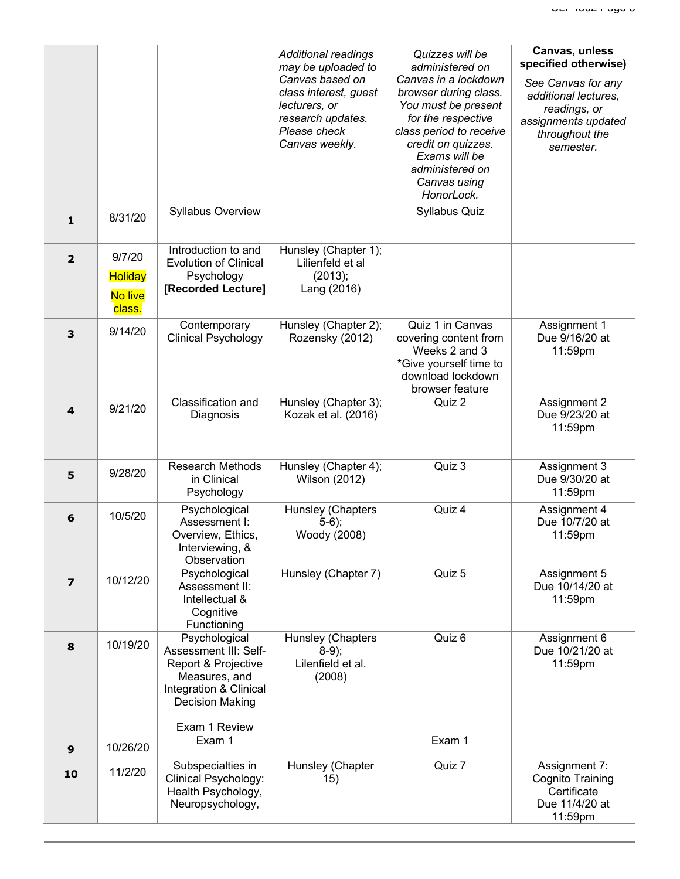|                         |                                               |                                                                                                                                                     | <b>Additional readings</b><br>may be uploaded to<br>Canvas based on<br>class interest, guest<br>lecturers, or<br>research updates.<br>Please check<br>Canvas weekly. | Quizzes will be<br>administered on<br>Canvas in a lockdown<br>browser during class.<br>You must be present<br>for the respective<br>class period to receive<br>credit on quizzes.<br>Exams will be<br>administered on<br>Canvas using<br>HonorLock. | Canvas, unless<br>specified otherwise)<br>See Canvas for any<br>additional lectures,<br>readings, or<br>assignments updated<br>throughout the<br>semester. |
|-------------------------|-----------------------------------------------|-----------------------------------------------------------------------------------------------------------------------------------------------------|----------------------------------------------------------------------------------------------------------------------------------------------------------------------|-----------------------------------------------------------------------------------------------------------------------------------------------------------------------------------------------------------------------------------------------------|------------------------------------------------------------------------------------------------------------------------------------------------------------|
| $\mathbf{1}$            | 8/31/20                                       | <b>Syllabus Overview</b>                                                                                                                            |                                                                                                                                                                      | Syllabus Quiz                                                                                                                                                                                                                                       |                                                                                                                                                            |
| $\overline{\mathbf{2}}$ | 9/7/20<br><b>Holiday</b><br>No live<br>class. | Introduction to and<br><b>Evolution of Clinical</b><br>Psychology<br>[Recorded Lecture]                                                             | Hunsley (Chapter 1);<br>Lilienfeld et al<br>(2013);<br>Lang (2016)                                                                                                   |                                                                                                                                                                                                                                                     |                                                                                                                                                            |
| 3                       | 9/14/20                                       | Contemporary<br><b>Clinical Psychology</b>                                                                                                          | Hunsley (Chapter 2);<br>Rozensky (2012)                                                                                                                              | Quiz 1 in Canvas<br>covering content from<br>Weeks 2 and 3<br>*Give yourself time to<br>download lockdown<br>browser feature                                                                                                                        | Assignment 1<br>Due 9/16/20 at<br>11:59pm                                                                                                                  |
| $\overline{4}$          | 9/21/20                                       | Classification and<br>Diagnosis                                                                                                                     | Hunsley (Chapter 3);<br>Kozak et al. (2016)                                                                                                                          | Quiz 2                                                                                                                                                                                                                                              | Assignment 2<br>Due 9/23/20 at<br>11:59pm                                                                                                                  |
| 5                       | 9/28/20                                       | <b>Research Methods</b><br>in Clinical<br>Psychology                                                                                                | Hunsley (Chapter 4);<br><b>Wilson (2012)</b>                                                                                                                         | Quiz 3                                                                                                                                                                                                                                              | Assignment 3<br>Due 9/30/20 at<br>11:59pm                                                                                                                  |
| $6\phantom{1}6$         | 10/5/20                                       | Psychological<br>Assessment I:<br>Overview, Ethics,<br>Interviewing, &<br>Observation                                                               | Hunsley (Chapters<br>$5-6$ ;<br>Woody (2008)                                                                                                                         | Quiz 4                                                                                                                                                                                                                                              | Assignment 4<br>Due 10/7/20 at<br>11:59pm                                                                                                                  |
| $\overline{\mathbf{z}}$ | 10/12/20                                      | Psychological<br>Assessment II:<br>Intellectual &<br>Cognitive<br>Functioning                                                                       | Hunsley (Chapter 7)                                                                                                                                                  | Quiz 5                                                                                                                                                                                                                                              | Assignment 5<br>Due 10/14/20 at<br>11:59pm                                                                                                                 |
| 8                       | 10/19/20                                      | Psychological<br>Assessment III: Self-<br>Report & Projective<br>Measures, and<br>Integration & Clinical<br><b>Decision Making</b><br>Exam 1 Review | Hunsley (Chapters<br>$8-9;$<br>Lilenfield et al.<br>(2008)                                                                                                           | Quiz 6                                                                                                                                                                                                                                              | Assignment 6<br>Due 10/21/20 at<br>11:59pm                                                                                                                 |
| $\boldsymbol{9}$        | 10/26/20                                      | Exam 1                                                                                                                                              |                                                                                                                                                                      | Exam 1                                                                                                                                                                                                                                              |                                                                                                                                                            |
| 10                      | 11/2/20                                       | Subspecialties in<br>Clinical Psychology:<br>Health Psychology,<br>Neuropsychology,                                                                 | Hunsley (Chapter<br>15)                                                                                                                                              | Quiz 7                                                                                                                                                                                                                                              | Assignment 7:<br><b>Cognito Training</b><br>Certificate<br>Due 11/4/20 at<br>11:59pm                                                                       |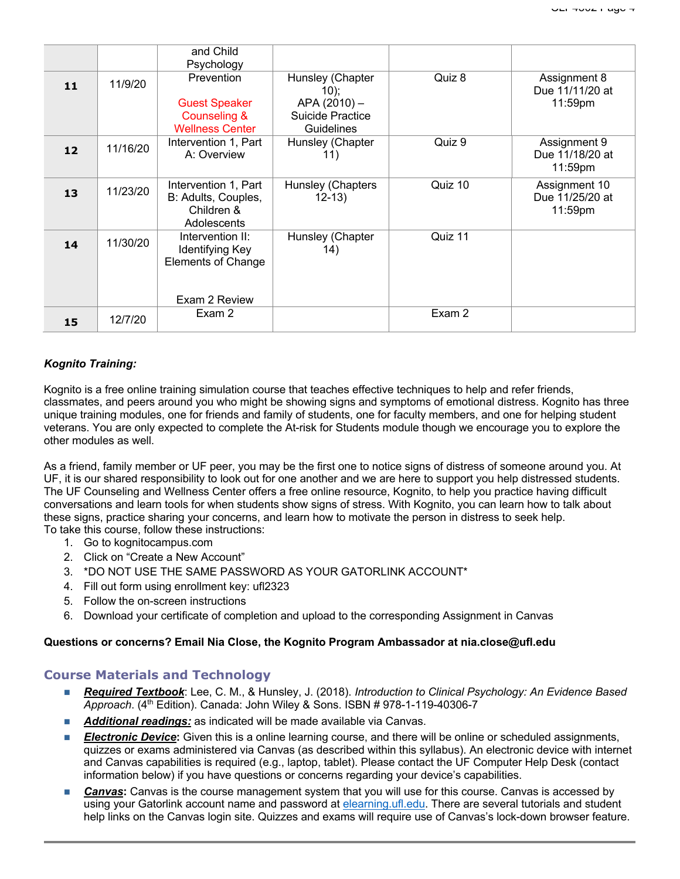|    |          | and Child<br>Psychology                                                           |                                                              |         |                                             |
|----|----------|-----------------------------------------------------------------------------------|--------------------------------------------------------------|---------|---------------------------------------------|
| 11 | 11/9/20  | Prevention<br><b>Guest Speaker</b><br><b>Counseling &amp;</b>                     | Hunsley (Chapter<br>10);<br>APA (2010) -<br>Suicide Practice | Quiz 8  | Assignment 8<br>Due 11/11/20 at<br>11:59pm  |
|    |          | <b>Wellness Center</b>                                                            | <b>Guidelines</b>                                            |         |                                             |
| 12 | 11/16/20 | Intervention 1, Part<br>A: Overview                                               | Hunsley (Chapter<br>11)                                      | Quiz 9  | Assignment 9<br>Due 11/18/20 at<br>11:59pm  |
| 13 | 11/23/20 | Intervention 1, Part<br>B: Adults, Couples,<br>Children &<br>Adolescents          | Hunsley (Chapters<br>$12 - 13$                               | Quiz 10 | Assignment 10<br>Due 11/25/20 at<br>11:59pm |
| 14 | 11/30/20 | Intervention II:<br>Identifying Key<br><b>Elements of Change</b><br>Exam 2 Review | Hunsley (Chapter<br>14)                                      | Quiz 11 |                                             |
|    |          | Exam 2                                                                            |                                                              | Exam 2  |                                             |
| 15 | 12/7/20  |                                                                                   |                                                              |         |                                             |

## *Kognito Training:*

Kognito is a free online training simulation course that teaches effective techniques to help and refer friends, classmates, and peers around you who might be showing signs and symptoms of emotional distress. Kognito has three unique training modules, one for friends and family of students, one for faculty members, and one for helping student veterans. You are only expected to complete the At-risk for Students module though we encourage you to explore the other modules as well.

As a friend, family member or UF peer, you may be the first one to notice signs of distress of someone around you. At UF, it is our shared responsibility to look out for one another and we are here to support you help distressed students. The UF Counseling and Wellness Center offers a free online resource, Kognito, to help you practice having difficult conversations and learn tools for when students show signs of stress. With Kognito, you can learn how to talk about these signs, practice sharing your concerns, and learn how to motivate the person in distress to seek help. To take this course, follow these instructions:

- 1. Go to kognitocampus.com
- 2. Click on "Create a New Account"
- 3. \*DO NOT USE THE SAME PASSWORD AS YOUR GATORLINK ACCOUNT\*
- 4. Fill out form using enrollment key: ufl2323
- 5. Follow the on-screen instructions
- 6. Download your certificate of completion and upload to the corresponding Assignment in Canvas

#### **Questions or concerns? Email Nia Close, the Kognito Program Ambassador at nia.close@ufl.edu**

# **Course Materials and Technology**

- *Required Textbook*: Lee, C. M., & Hunsley, J. (2018). *Introduction to Clinical Psychology: An Evidence Based Approach*. (4th Edition). Canada: John Wiley & Sons. ISBN # 978-1-119-40306-7
- **Additional readings:** as indicated will be made available via Canvas.
- **Electronic Device:** Given this is a online learning course, and there will be online or scheduled assignments, quizzes or exams administered via Canvas (as described within this syllabus). An electronic device with internet and Canvas capabilities is required (e.g., laptop, tablet). Please contact the UF Computer Help Desk (contact information below) if you have questions or concerns regarding your device's capabilities.
- **Canvas:** Canvas is the course management system that you will use for this course. Canvas is accessed by using your Gatorlink account name and password at elearning.ufl.edu. There are several tutorials and student help links on the Canvas login site. Quizzes and exams will require use of Canvas's lock-down browser feature.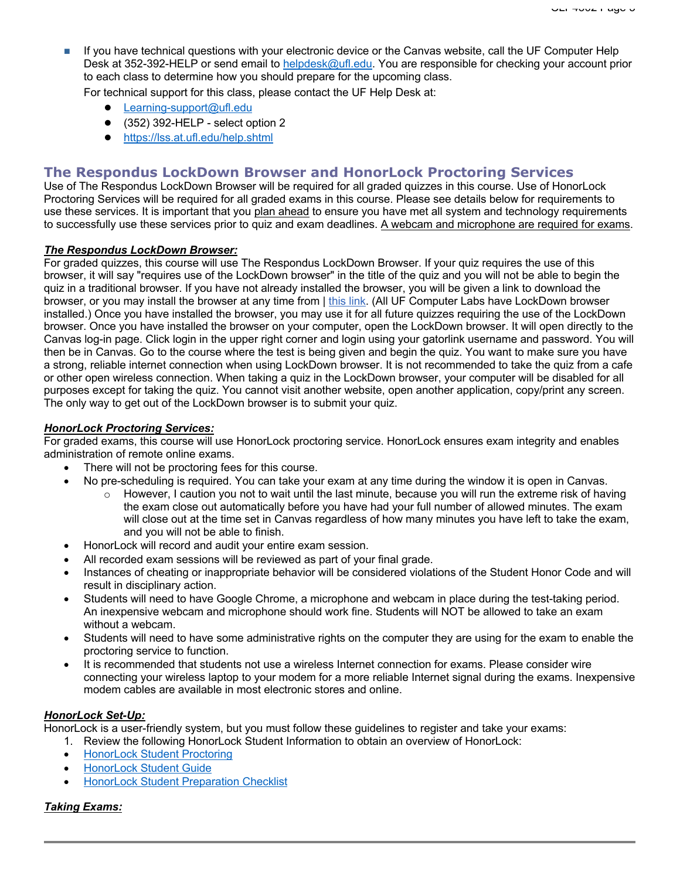n If you have technical questions with your electronic device or the Canvas website, call the UF Computer Help Desk at 352-392-HELP or send email to helpdesk@ufl.edu. You are responsible for checking your account prior to each class to determine how you should prepare for the upcoming class.

For technical support for this class, please contact the UF Help Desk at:

- Learning-support@ufl.edu
- $\bullet$  (352) 392-HELP select option 2
- https://lss.at.ufl.edu/help.shtml

# **The Respondus LockDown Browser and HonorLock Proctoring Services**

Use of The Respondus LockDown Browser will be required for all graded quizzes in this course. Use of HonorLock Proctoring Services will be required for all graded exams in this course. Please see details below for requirements to use these services. It is important that you plan ahead to ensure you have met all system and technology requirements to successfully use these services prior to quiz and exam deadlines. A webcam and microphone are required for exams.

#### *The Respondus LockDown Browser:*

For graded quizzes, this course will use The Respondus LockDown Browser. If your quiz requires the use of this browser, it will say "requires use of the LockDown browser" in the title of the quiz and you will not be able to begin the quiz in a traditional browser. If you have not already installed the browser, you will be given a link to download the browser, or you may install the browser at any time from | this link. (All UF Computer Labs have LockDown browser installed.) Once you have installed the browser, you may use it for all future quizzes requiring the use of the LockDown browser. Once you have installed the browser on your computer, open the LockDown browser. It will open directly to the Canvas log-in page. Click login in the upper right corner and login using your gatorlink username and password. You will then be in Canvas. Go to the course where the test is being given and begin the quiz. You want to make sure you have a strong, reliable internet connection when using LockDown browser. It is not recommended to take the quiz from a cafe or other open wireless connection. When taking a quiz in the LockDown browser, your computer will be disabled for all purposes except for taking the quiz. You cannot visit another website, open another application, copy/print any screen. The only way to get out of the LockDown browser is to submit your quiz.

#### *HonorLock Proctoring Services:*

For graded exams, this course will use HonorLock proctoring service. HonorLock ensures exam integrity and enables administration of remote online exams.

- There will not be proctoring fees for this course.
- No pre-scheduling is required. You can take your exam at any time during the window it is open in Canvas.
	- $\circ$  However, I caution you not to wait until the last minute, because you will run the extreme risk of having the exam close out automatically before you have had your full number of allowed minutes. The exam will close out at the time set in Canvas regardless of how many minutes you have left to take the exam, and you will not be able to finish.
- HonorLock will record and audit your entire exam session.
- All recorded exam sessions will be reviewed as part of your final grade.
- Instances of cheating or inappropriate behavior will be considered violations of the Student Honor Code and will result in disciplinary action.
- Students will need to have Google Chrome, a microphone and webcam in place during the test-taking period. An inexpensive webcam and microphone should work fine. Students will NOT be allowed to take an exam without a webcam.
- Students will need to have some administrative rights on the computer they are using for the exam to enable the proctoring service to function.
- It is recommended that students not use a wireless Internet connection for exams. Please consider wire connecting your wireless laptop to your modem for a more reliable Internet signal during the exams. Inexpensive modem cables are available in most electronic stores and online.

# *HonorLock Set-Up:*

HonorLock is a user-friendly system, but you must follow these guidelines to register and take your exams:

- 1. Review the following HonorLock Student Information to obtain an overview of HonorLock:
- HonorLock Student Proctoring
- HonorLock Student Guide
- HonorLock Student Preparation Checklist

#### *Taking Exams:*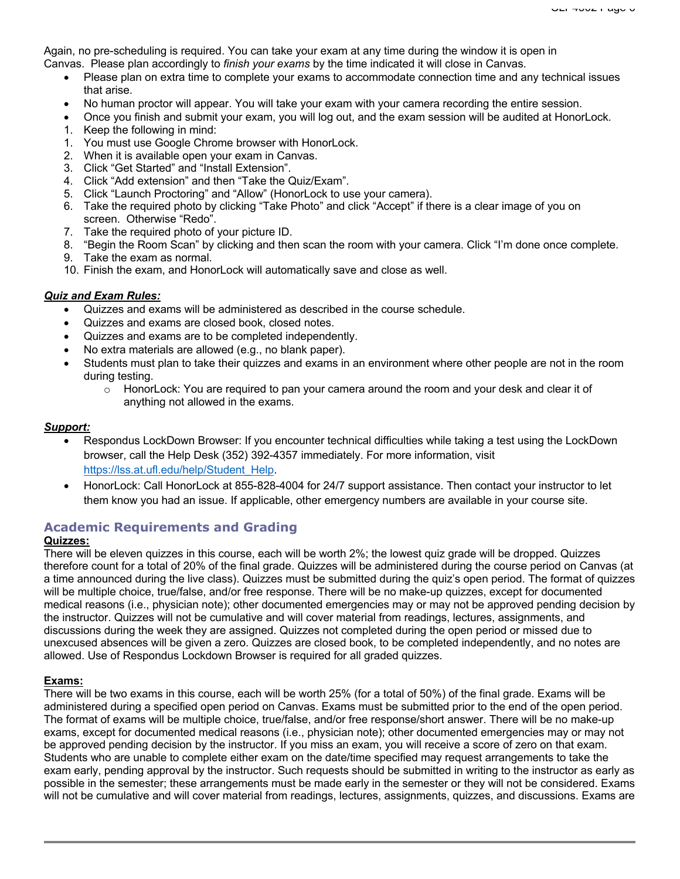Again, no pre-scheduling is required. You can take your exam at any time during the window it is open in Canvas. Please plan accordingly to *finish your exams* by the time indicated it will close in Canvas.

- Please plan on extra time to complete your exams to accommodate connection time and any technical issues that arise.
- No human proctor will appear. You will take your exam with your camera recording the entire session.
- Once you finish and submit your exam, you will log out, and the exam session will be audited at HonorLock.
- 1. Keep the following in mind:
- 1. You must use Google Chrome browser with HonorLock.
- 2. When it is available open your exam in Canvas.
- 3. Click "Get Started" and "Install Extension".
- 4. Click "Add extension" and then "Take the Quiz/Exam".
- 5. Click "Launch Proctoring" and "Allow" (HonorLock to use your camera).
- 6. Take the required photo by clicking "Take Photo" and click "Accept" if there is a clear image of you on screen. Otherwise "Redo".
- 7. Take the required photo of your picture ID.
- 8. "Begin the Room Scan" by clicking and then scan the room with your camera. Click "I'm done once complete.
- 9. Take the exam as normal.
- 10. Finish the exam, and HonorLock will automatically save and close as well.

## *Quiz and Exam Rules:*

- Quizzes and exams will be administered as described in the course schedule.
- Quizzes and exams are closed book, closed notes.
- Quizzes and exams are to be completed independently.
- No extra materials are allowed (e.g., no blank paper).
- Students must plan to take their quizzes and exams in an environment where other people are not in the room during testing.
	- $\circ$  HonorLock: You are required to pan your camera around the room and your desk and clear it of anything not allowed in the exams.

## *Support:*

- Respondus LockDown Browser: If you encounter technical difficulties while taking a test using the LockDown browser, call the Help Desk (352) 392-4357 immediately. For more information, visit https://lss.at.ufl.edu/help/Student\_Help.
- HonorLock: Call HonorLock at 855-828-4004 for 24/7 support assistance. Then contact your instructor to let them know you had an issue. If applicable, other emergency numbers are available in your course site.

# **Academic Requirements and Grading**

## **Quizzes:**

There will be eleven quizzes in this course, each will be worth 2%; the lowest quiz grade will be dropped. Quizzes therefore count for a total of 20% of the final grade. Quizzes will be administered during the course period on Canvas (at a time announced during the live class). Quizzes must be submitted during the quiz's open period. The format of quizzes will be multiple choice, true/false, and/or free response. There will be no make-up quizzes, except for documented medical reasons (i.e., physician note); other documented emergencies may or may not be approved pending decision by the instructor. Quizzes will not be cumulative and will cover material from readings, lectures, assignments, and discussions during the week they are assigned. Quizzes not completed during the open period or missed due to unexcused absences will be given a zero. Quizzes are closed book, to be completed independently, and no notes are allowed. Use of Respondus Lockdown Browser is required for all graded quizzes.

#### **Exams:**

There will be two exams in this course, each will be worth 25% (for a total of 50%) of the final grade. Exams will be administered during a specified open period on Canvas. Exams must be submitted prior to the end of the open period. The format of exams will be multiple choice, true/false, and/or free response/short answer. There will be no make-up exams, except for documented medical reasons (i.e., physician note); other documented emergencies may or may not be approved pending decision by the instructor. If you miss an exam, you will receive a score of zero on that exam. Students who are unable to complete either exam on the date/time specified may request arrangements to take the exam early, pending approval by the instructor. Such requests should be submitted in writing to the instructor as early as possible in the semester; these arrangements must be made early in the semester or they will not be considered. Exams will not be cumulative and will cover material from readings, lectures, assignments, quizzes, and discussions. Exams are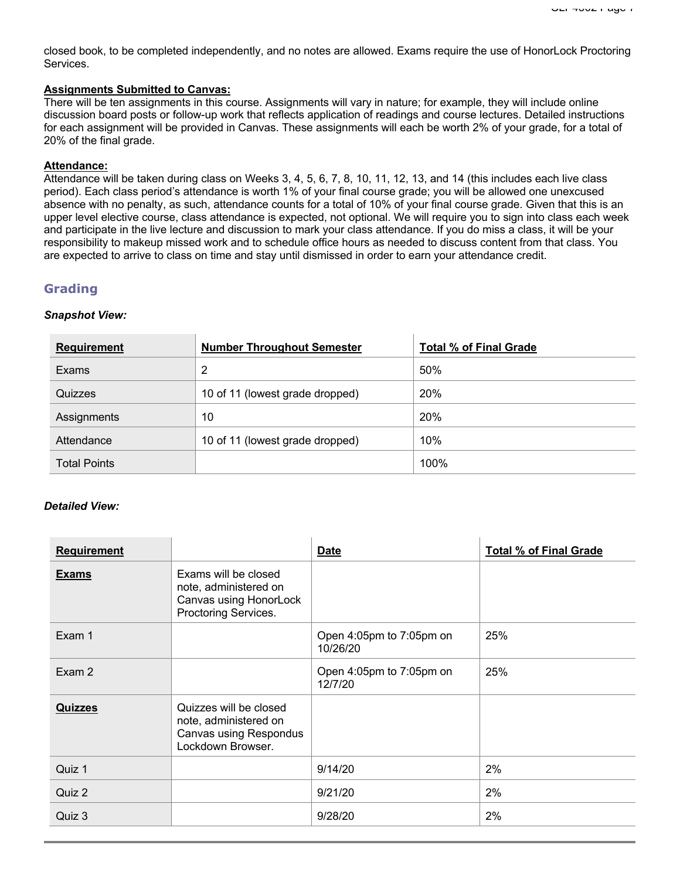closed book, to be completed independently, and no notes are allowed. Exams require the use of HonorLock Proctoring Services.

# **Assignments Submitted to Canvas:**

There will be ten assignments in this course. Assignments will vary in nature; for example, they will include online discussion board posts or follow-up work that reflects application of readings and course lectures. Detailed instructions for each assignment will be provided in Canvas. These assignments will each be worth 2% of your grade, for a total of 20% of the final grade.

## **Attendance:**

Attendance will be taken during class on Weeks 3, 4, 5, 6, 7, 8, 10, 11, 12, 13, and 14 (this includes each live class period). Each class period's attendance is worth 1% of your final course grade; you will be allowed one unexcused absence with no penalty, as such, attendance counts for a total of 10% of your final course grade. Given that this is an upper level elective course, class attendance is expected, not optional. We will require you to sign into class each week and participate in the live lecture and discussion to mark your class attendance. If you do miss a class, it will be your responsibility to makeup missed work and to schedule office hours as needed to discuss content from that class. You are expected to arrive to class on time and stay until dismissed in order to earn your attendance credit.

# **Grading**

#### *Snapshot View:*

| <b>Requirement</b>  | <b>Number Throughout Semester</b> | <b>Total % of Final Grade</b> |
|---------------------|-----------------------------------|-------------------------------|
| Exams               | 2                                 | 50%                           |
| Quizzes             | 10 of 11 (lowest grade dropped)   | 20%                           |
| Assignments         | 10                                | 20%                           |
| Attendance          | 10 of 11 (lowest grade dropped)   | 10%                           |
| <b>Total Points</b> |                                   | 100%                          |

# *Detailed View:*

| <b>Requirement</b> |                                                                                                 | <b>Date</b>                          | <b>Total % of Final Grade</b> |
|--------------------|-------------------------------------------------------------------------------------------------|--------------------------------------|-------------------------------|
| <b>Exams</b>       | Exams will be closed<br>note, administered on<br>Canvas using HonorLock<br>Proctoring Services. |                                      |                               |
| Exam 1             |                                                                                                 | Open 4:05pm to 7:05pm on<br>10/26/20 | 25%                           |
| Exam 2             |                                                                                                 | Open 4:05pm to 7:05pm on<br>12/7/20  | 25%                           |
| <b>Quizzes</b>     | Quizzes will be closed<br>note, administered on<br>Canvas using Respondus<br>Lockdown Browser.  |                                      |                               |
| Quiz 1             |                                                                                                 | 9/14/20                              | 2%                            |
| Quiz 2             |                                                                                                 | 9/21/20                              | 2%                            |
| Quiz 3             |                                                                                                 | 9/28/20                              | 2%                            |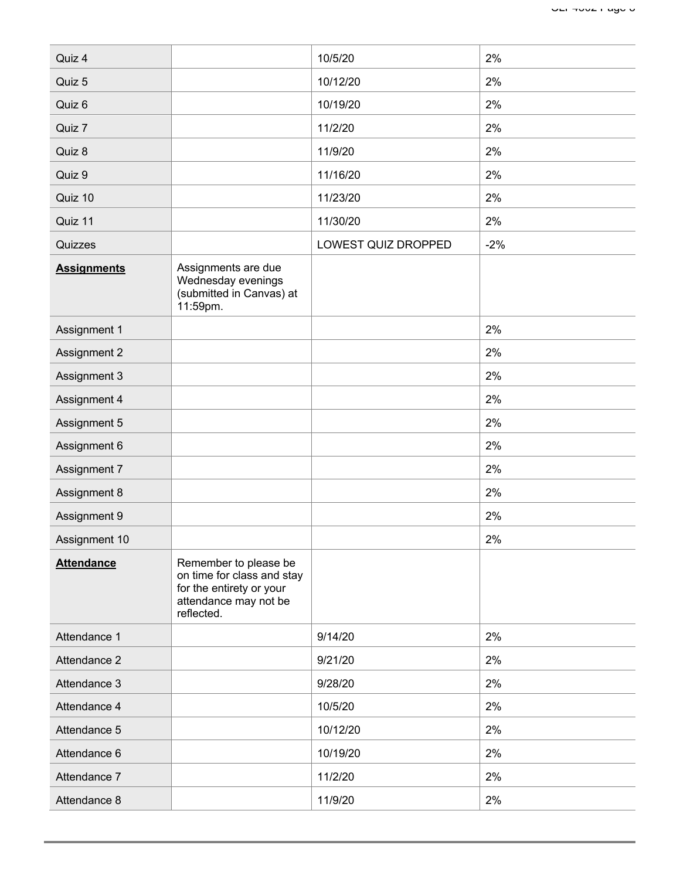| Quiz 4             |                                                                                                                        | 10/5/20             | 2%    |
|--------------------|------------------------------------------------------------------------------------------------------------------------|---------------------|-------|
| Quiz 5             |                                                                                                                        | 10/12/20            | 2%    |
| Quiz 6             |                                                                                                                        | 10/19/20            | 2%    |
| Quiz 7             |                                                                                                                        | 11/2/20             | 2%    |
| Quiz 8             |                                                                                                                        | 11/9/20             | 2%    |
| Quiz 9             |                                                                                                                        | 11/16/20            | 2%    |
| Quiz 10            |                                                                                                                        | 11/23/20            | 2%    |
| Quiz 11            |                                                                                                                        | 11/30/20            | 2%    |
| Quizzes            |                                                                                                                        | LOWEST QUIZ DROPPED | $-2%$ |
| <b>Assignments</b> | Assignments are due<br>Wednesday evenings<br>(submitted in Canvas) at<br>11:59pm.                                      |                     |       |
| Assignment 1       |                                                                                                                        |                     | 2%    |
| Assignment 2       |                                                                                                                        |                     | 2%    |
| Assignment 3       |                                                                                                                        |                     | 2%    |
| Assignment 4       |                                                                                                                        |                     | 2%    |
| Assignment 5       |                                                                                                                        |                     | 2%    |
| Assignment 6       |                                                                                                                        |                     | 2%    |
| Assignment 7       |                                                                                                                        |                     | 2%    |
| Assignment 8       |                                                                                                                        |                     | 2%    |
| Assignment 9       |                                                                                                                        |                     | 2%    |
| Assignment 10      |                                                                                                                        |                     | 2%    |
| <b>Attendance</b>  | Remember to please be<br>on time for class and stay<br>for the entirety or your<br>attendance may not be<br>reflected. |                     |       |
| Attendance 1       |                                                                                                                        | 9/14/20             | 2%    |
| Attendance 2       |                                                                                                                        | 9/21/20             | 2%    |
| Attendance 3       |                                                                                                                        | 9/28/20             | 2%    |
| Attendance 4       |                                                                                                                        | 10/5/20             | 2%    |
| Attendance 5       |                                                                                                                        | 10/12/20            | 2%    |
| Attendance 6       |                                                                                                                        | 10/19/20            | 2%    |
|                    |                                                                                                                        | 11/2/20             | 2%    |
| Attendance 7       |                                                                                                                        |                     |       |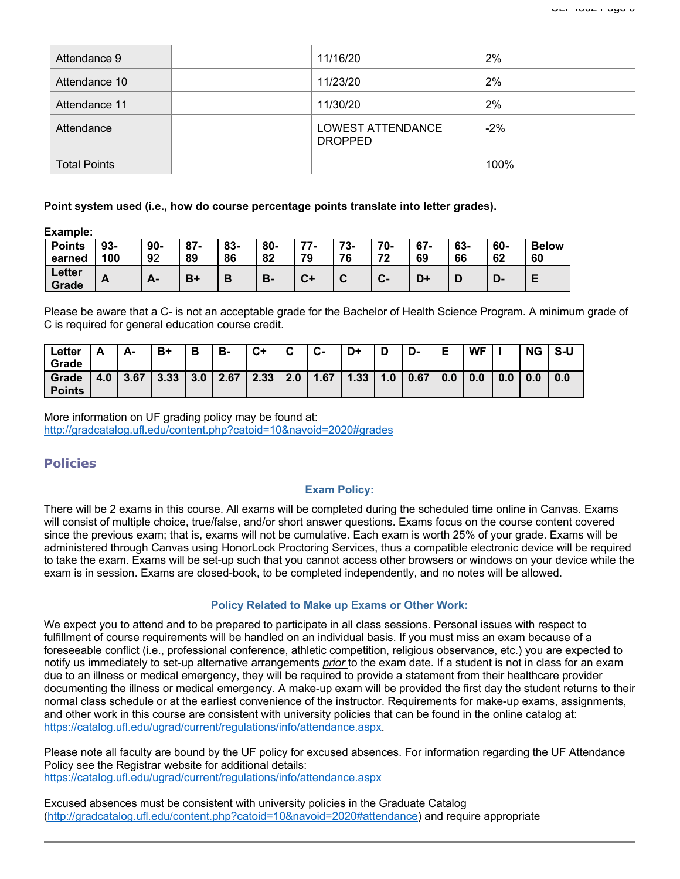| Attendance 9        | 11/16/20                                   | 2%    |
|---------------------|--------------------------------------------|-------|
| Attendance 10       | 11/23/20                                   | 2%    |
| Attendance 11       | 11/30/20                                   | 2%    |
| Attendance          | <b>LOWEST ATTENDANCE</b><br><b>DROPPED</b> | $-2%$ |
| <b>Total Points</b> |                                            | 100%  |

#### **Point system used (i.e., how do course percentage points translate into letter grades).**

**Example:**

| <b>Points</b><br>earned | $93 -$<br>100 | 90-<br>92 | $87 -$<br>89 | 83-<br>86 | 80-<br>o٥<br>ΟZ | 77<br>$\mathbf{r}$<br>70 | 72<br>-ت<br>76 | 70-<br>70 | $67 -$<br>69 | 63-<br>66 | 60-<br>62 | <b>Below</b><br>60 |
|-------------------------|---------------|-----------|--------------|-----------|-----------------|--------------------------|----------------|-----------|--------------|-----------|-----------|--------------------|
| <b>Letter</b><br>Grade  | n.            | <u>гч</u> | B+           |           | В.              | $C+$                     | ∽              | v-        | D٠           |           | D-        |                    |

Please be aware that a C- is not an acceptable grade for the Bachelor of Health Science Program. A minimum grade of C is required for general education course credit.

| Letter        |     | А-   | B+   | Ð<br>о | в-   | C+   | $\sim$<br>v | $\mathbf{r}$<br>ს- | D+   | ш   | D-   |     | <b>WF</b> |     | <b>NG</b> | S-U |
|---------------|-----|------|------|--------|------|------|-------------|--------------------|------|-----|------|-----|-----------|-----|-----------|-----|
| Grade         |     |      |      |        |      |      |             |                    |      |     |      |     |           |     |           |     |
| Grade         | 4.0 | 3.67 | 3.33 | 3.0    | 2.67 | 2.33 | 2.0         | 1.67               | 1.33 | 1.0 | 0.67 | 0.0 | 0.0       | 0.0 | 0.0       | 0.0 |
| <b>Points</b> |     |      |      |        |      |      |             |                    |      |     |      |     |           |     |           |     |

More information on UF grading policy may be found at: http://gradcatalog.ufl.edu/content.php?catoid=10&navoid=2020#grades

# **Policies**

#### **Exam Policy:**

There will be 2 exams in this course. All exams will be completed during the scheduled time online in Canvas. Exams will consist of multiple choice, true/false, and/or short answer questions. Exams focus on the course content covered since the previous exam; that is, exams will not be cumulative. Each exam is worth 25% of your grade. Exams will be administered through Canvas using HonorLock Proctoring Services, thus a compatible electronic device will be required to take the exam. Exams will be set-up such that you cannot access other browsers or windows on your device while the exam is in session. Exams are closed-book, to be completed independently, and no notes will be allowed.

#### **Policy Related to Make up Exams or Other Work:**

We expect you to attend and to be prepared to participate in all class sessions. Personal issues with respect to fulfillment of course requirements will be handled on an individual basis. If you must miss an exam because of a foreseeable conflict (i.e., professional conference, athletic competition, religious observance, etc.) you are expected to notify us immediately to set-up alternative arrangements *prior* to the exam date. If a student is not in class for an exam due to an illness or medical emergency, they will be required to provide a statement from their healthcare provider documenting the illness or medical emergency. A make-up exam will be provided the first day the student returns to their normal class schedule or at the earliest convenience of the instructor. Requirements for make-up exams, assignments, and other work in this course are consistent with university policies that can be found in the online catalog at: https://catalog.ufl.edu/ugrad/current/regulations/info/attendance.aspx.

Please note all faculty are bound by the UF policy for excused absences. For information regarding the UF Attendance Policy see the Registrar website for additional details: https://catalog.ufl.edu/ugrad/current/regulations/info/attendance.aspx

Excused absences must be consistent with university policies in the Graduate Catalog (http://gradcatalog.ufl.edu/content.php?catoid=10&navoid=2020#attendance) and require appropriate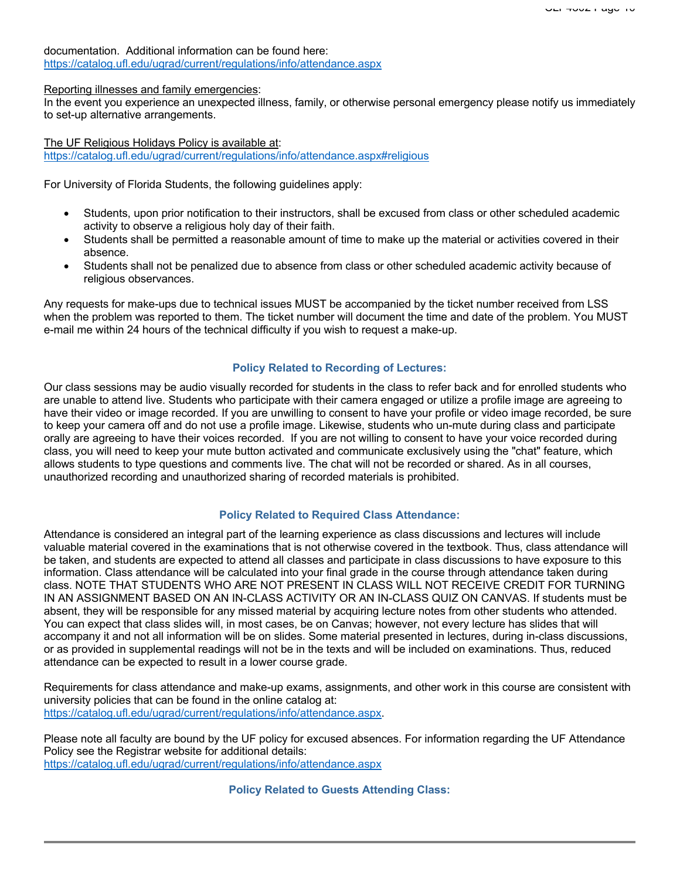documentation. Additional information can be found here: https://catalog.ufl.edu/ugrad/current/regulations/info/attendance.aspx

Reporting illnesses and family emergencies:

In the event you experience an unexpected illness, family, or otherwise personal emergency please notify us immediately to set-up alternative arrangements.

The UF Religious Holidays Policy is available at: https://catalog.ufl.edu/ugrad/current/regulations/info/attendance.aspx#religious

For University of Florida Students, the following guidelines apply:

- Students, upon prior notification to their instructors, shall be excused from class or other scheduled academic activity to observe a religious holy day of their faith.
- Students shall be permitted a reasonable amount of time to make up the material or activities covered in their absence.
- Students shall not be penalized due to absence from class or other scheduled academic activity because of religious observances.

Any requests for make-ups due to technical issues MUST be accompanied by the ticket number received from LSS when the problem was reported to them. The ticket number will document the time and date of the problem. You MUST e-mail me within 24 hours of the technical difficulty if you wish to request a make-up.

#### **Policy Related to Recording of Lectures:**

Our class sessions may be audio visually recorded for students in the class to refer back and for enrolled students who are unable to attend live. Students who participate with their camera engaged or utilize a profile image are agreeing to have their video or image recorded. If you are unwilling to consent to have your profile or video image recorded, be sure to keep your camera off and do not use a profile image. Likewise, students who un-mute during class and participate orally are agreeing to have their voices recorded. If you are not willing to consent to have your voice recorded during class, you will need to keep your mute button activated and communicate exclusively using the "chat" feature, which allows students to type questions and comments live. The chat will not be recorded or shared. As in all courses, unauthorized recording and unauthorized sharing of recorded materials is prohibited.

#### **Policy Related to Required Class Attendance:**

Attendance is considered an integral part of the learning experience as class discussions and lectures will include valuable material covered in the examinations that is not otherwise covered in the textbook. Thus, class attendance will be taken, and students are expected to attend all classes and participate in class discussions to have exposure to this information. Class attendance will be calculated into your final grade in the course through attendance taken during class. NOTE THAT STUDENTS WHO ARE NOT PRESENT IN CLASS WILL NOT RECEIVE CREDIT FOR TURNING IN AN ASSIGNMENT BASED ON AN IN-CLASS ACTIVITY OR AN IN-CLASS QUIZ ON CANVAS. If students must be absent, they will be responsible for any missed material by acquiring lecture notes from other students who attended. You can expect that class slides will, in most cases, be on Canvas; however, not every lecture has slides that will accompany it and not all information will be on slides. Some material presented in lectures, during in-class discussions, or as provided in supplemental readings will not be in the texts and will be included on examinations. Thus, reduced attendance can be expected to result in a lower course grade.

Requirements for class attendance and make-up exams, assignments, and other work in this course are consistent with university policies that can be found in the online catalog at: https://catalog.ufl.edu/ugrad/current/regulations/info/attendance.aspx.

Please note all faculty are bound by the UF policy for excused absences. For information regarding the UF Attendance Policy see the Registrar website for additional details: https://catalog.ufl.edu/ugrad/current/regulations/info/attendance.aspx

**Policy Related to Guests Attending Class:**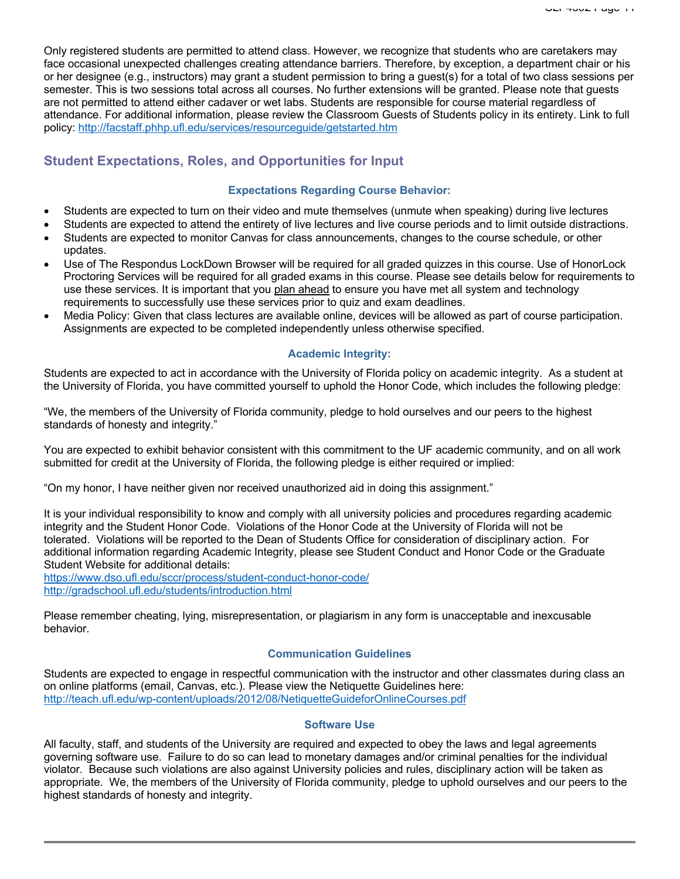Only registered students are permitted to attend class. However, we recognize that students who are caretakers may face occasional unexpected challenges creating attendance barriers. Therefore, by exception, a department chair or his or her designee (e.g., instructors) may grant a student permission to bring a guest(s) for a total of two class sessions per semester. This is two sessions total across all courses. No further extensions will be granted. Please note that guests are not permitted to attend either cadaver or wet labs. Students are responsible for course material regardless of attendance. For additional information, please review the Classroom Guests of Students policy in its entirety. Link to full policy: http://facstaff.phhp.ufl.edu/services/resourceguide/getstarted.htm

# **Student Expectations, Roles, and Opportunities for Input**

#### **Expectations Regarding Course Behavior:**

- Students are expected to turn on their video and mute themselves (unmute when speaking) during live lectures
- Students are expected to attend the entirety of live lectures and live course periods and to limit outside distractions.
- Students are expected to monitor Canvas for class announcements, changes to the course schedule, or other updates.
- Use of The Respondus LockDown Browser will be required for all graded quizzes in this course. Use of HonorLock Proctoring Services will be required for all graded exams in this course. Please see details below for requirements to use these services. It is important that you plan ahead to ensure you have met all system and technology requirements to successfully use these services prior to quiz and exam deadlines.
- Media Policy: Given that class lectures are available online, devices will be allowed as part of course participation. Assignments are expected to be completed independently unless otherwise specified.

## **Academic Integrity:**

Students are expected to act in accordance with the University of Florida policy on academic integrity. As a student at the University of Florida, you have committed yourself to uphold the Honor Code, which includes the following pledge:

"We, the members of the University of Florida community, pledge to hold ourselves and our peers to the highest standards of honesty and integrity."

You are expected to exhibit behavior consistent with this commitment to the UF academic community, and on all work submitted for credit at the University of Florida, the following pledge is either required or implied:

"On my honor, I have neither given nor received unauthorized aid in doing this assignment."

It is your individual responsibility to know and comply with all university policies and procedures regarding academic integrity and the Student Honor Code. Violations of the Honor Code at the University of Florida will not be tolerated. Violations will be reported to the Dean of Students Office for consideration of disciplinary action. For additional information regarding Academic Integrity, please see Student Conduct and Honor Code or the Graduate Student Website for additional details:

https://www.dso.ufl.edu/sccr/process/student-conduct-honor-code/ http://gradschool.ufl.edu/students/introduction.html

Please remember cheating, lying, misrepresentation, or plagiarism in any form is unacceptable and inexcusable behavior.

#### **Communication Guidelines**

Students are expected to engage in respectful communication with the instructor and other classmates during class an on online platforms (email, Canvas, etc.). Please view the Netiquette Guidelines here: http://teach.ufl.edu/wp-content/uploads/2012/08/NetiquetteGuideforOnlineCourses.pdf

#### **Software Use**

All faculty, staff, and students of the University are required and expected to obey the laws and legal agreements governing software use. Failure to do so can lead to monetary damages and/or criminal penalties for the individual violator. Because such violations are also against University policies and rules, disciplinary action will be taken as appropriate. We, the members of the University of Florida community, pledge to uphold ourselves and our peers to the highest standards of honesty and integrity.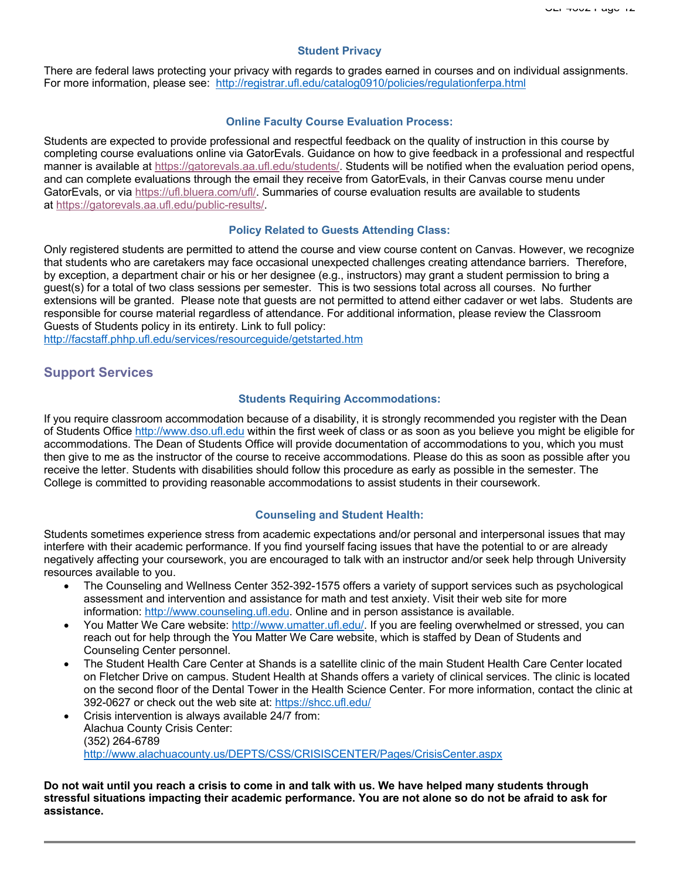#### **Student Privacy**

There are federal laws protecting your privacy with regards to grades earned in courses and on individual assignments. For more information, please see: http://registrar.ufl.edu/catalog0910/policies/regulationferpa.html

## **Online Faculty Course Evaluation Process:**

Students are expected to provide professional and respectful feedback on the quality of instruction in this course by completing course evaluations online via GatorEvals. Guidance on how to give feedback in a professional and respectful manner is available at https://gatorevals.aa.ufl.edu/students/. Students will be notified when the evaluation period opens, and can complete evaluations through the email they receive from GatorEvals, in their Canvas course menu under GatorEvals, or via https://ufl.bluera.com/ufl/. Summaries of course evaluation results are available to students at https://gatorevals.aa.ufl.edu/public-results/.

#### **Policy Related to Guests Attending Class:**

Only registered students are permitted to attend the course and view course content on Canvas. However, we recognize that students who are caretakers may face occasional unexpected challenges creating attendance barriers. Therefore, by exception, a department chair or his or her designee (e.g., instructors) may grant a student permission to bring a guest(s) for a total of two class sessions per semester. This is two sessions total across all courses. No further extensions will be granted. Please note that guests are not permitted to attend either cadaver or wet labs. Students are responsible for course material regardless of attendance. For additional information, please review the Classroom Guests of Students policy in its entirety. Link to full policy:

http://facstaff.phhp.ufl.edu/services/resourceguide/getstarted.htm

# **Support Services**

#### **Students Requiring Accommodations:**

If you require classroom accommodation because of a disability, it is strongly recommended you register with the Dean of Students Office http://www.dso.ufl.edu within the first week of class or as soon as you believe you might be eligible for accommodations. The Dean of Students Office will provide documentation of accommodations to you, which you must then give to me as the instructor of the course to receive accommodations. Please do this as soon as possible after you receive the letter. Students with disabilities should follow this procedure as early as possible in the semester. The College is committed to providing reasonable accommodations to assist students in their coursework.

#### **Counseling and Student Health:**

Students sometimes experience stress from academic expectations and/or personal and interpersonal issues that may interfere with their academic performance. If you find yourself facing issues that have the potential to or are already negatively affecting your coursework, you are encouraged to talk with an instructor and/or seek help through University resources available to you.

- The Counseling and Wellness Center 352-392-1575 offers a variety of support services such as psychological assessment and intervention and assistance for math and test anxiety. Visit their web site for more information: http://www.counseling.ufl.edu. Online and in person assistance is available.
- You Matter We Care website: http://www.umatter.ufl.edu/. If you are feeling overwhelmed or stressed, you can reach out for help through the You Matter We Care website, which is staffed by Dean of Students and Counseling Center personnel.
- The Student Health Care Center at Shands is a satellite clinic of the main Student Health Care Center located on Fletcher Drive on campus. Student Health at Shands offers a variety of clinical services. The clinic is located on the second floor of the Dental Tower in the Health Science Center. For more information, contact the clinic at 392-0627 or check out the web site at: https://shcc.ufl.edu/
- Crisis intervention is always available 24/7 from: Alachua County Crisis Center: (352) 264-6789 http://www.alachuacounty.us/DEPTS/CSS/CRISISCENTER/Pages/CrisisCenter.aspx

**Do not wait until you reach a crisis to come in and talk with us. We have helped many students through stressful situations impacting their academic performance. You are not alone so do not be afraid to ask for assistance.**